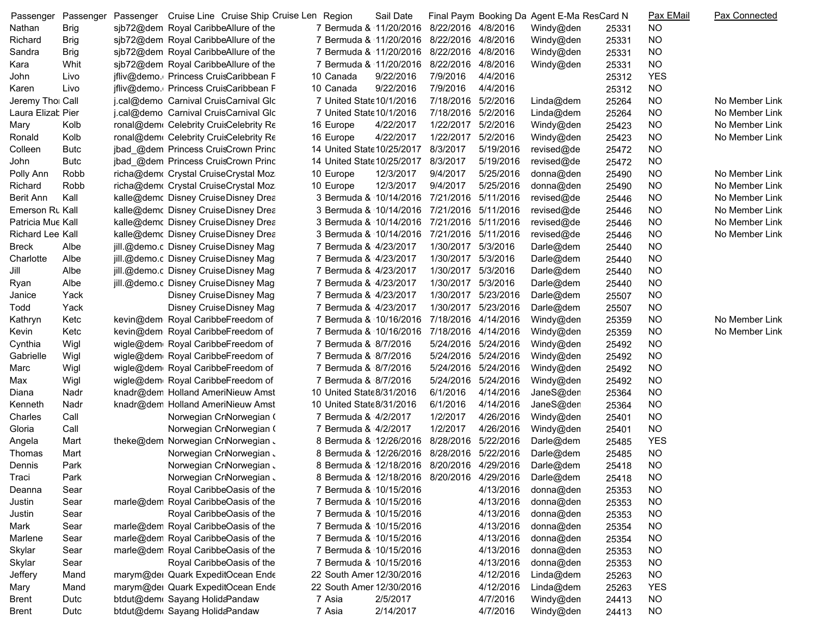| Passenger               | Passenger   | Passenger Cruise Line Cruise Ship Cruise Len Region |                                            | Sail Date |                     |                     | Final Paym Booking Da Agent E-Ma ResCard N |       | Pax EMail  | <b>Pax Connected</b> |
|-------------------------|-------------|-----------------------------------------------------|--------------------------------------------|-----------|---------------------|---------------------|--------------------------------------------|-------|------------|----------------------|
| Nathan                  | <b>Brig</b> | sjb72@dem Royal CaribbeAllure of the                | 7 Bermuda & 11/20/2016                     |           | 8/22/2016 4/8/2016  |                     | Windy@den                                  | 25331 | <b>NO</b>  |                      |
| Richard                 | <b>Brig</b> | sjb72@dem Royal CaribbeAllure of the                | 7 Bermuda & 11/20/2016 8/22/2016 4/8/2016  |           |                     |                     | Windy@den                                  | 25331 | <b>NO</b>  |                      |
| Sandra                  | <b>Brig</b> | sjb72@dem Royal CaribbeAllure of the                | 7 Bermuda & 11/20/2016                     |           | 8/22/2016           | 4/8/2016            | Windy@den                                  | 25331 | <b>NO</b>  |                      |
| Kara                    | Whit        | sjb72@dem Royal CaribbeAllure of the                | 7 Bermuda & 11/20/2016                     |           | 8/22/2016           | 4/8/2016            | Windy@den                                  | 25331 | <b>NO</b>  |                      |
| John                    | Livo        | jfliv@demo. Princess CruisCaribbean F               | 10 Canada                                  | 9/22/2016 | 7/9/2016            | 4/4/2016            |                                            | 25312 | <b>YES</b> |                      |
| Karen                   | Livo        | jfliv@demo. Princess CruisCaribbean F               | 10 Canada                                  | 9/22/2016 | 7/9/2016            | 4/4/2016            |                                            | 25312 | <b>NO</b>  |                      |
| Jeremy Tho Call         |             | j.cal@demo Carnival CruisCarnival Glo               | 7 United State 10/1/2016                   |           | 7/18/2016 5/2/2016  |                     | Linda@dem                                  | 25264 | <b>NO</b>  | No Member Link       |
| Laura Elizat Pier       |             | j.cal@demo Carnival CruisCarnival Glo               | 7 United State 10/1/2016                   |           | 7/18/2016 5/2/2016  |                     | Linda@dem                                  | 25264 | <b>NO</b>  | No Member Link       |
| Mary                    | Kolb        | ronal@dem Celebrity CruisCelebrity Re               | 16 Europe                                  | 4/22/2017 | 1/22/2017           | 5/2/2016            | Windy@den                                  | 25423 | <b>NO</b>  | No Member Link       |
| Ronald                  | Kolb        | ronal@dem Celebrity CruisCelebrity Re               | 16 Europe                                  | 4/22/2017 | 1/22/2017 5/2/2016  |                     | Windy@den                                  | 25423 | <b>NO</b>  | No Member Link       |
| Colleen                 | <b>Butc</b> | jbad @dem Princess CruisCrown Princ                 | 14 United State 10/25/2017                 |           | 8/3/2017            | 5/19/2016           | revised@de                                 | 25472 | <b>NO</b>  |                      |
| John                    | <b>Butc</b> | jbad @dem Princess CruisCrown Princ                 | 14 United State 10/25/2017                 |           | 8/3/2017            | 5/19/2016           | revised@de                                 | 25472 | <b>NO</b>  |                      |
| Polly Ann               | Robb        | richa@dem Crystal CruiseCrystal Moz                 | 10 Europe                                  | 12/3/2017 | 9/4/2017            | 5/25/2016           | donna@den                                  | 25490 | <b>NO</b>  | No Member Link       |
| Richard                 | Robb        | richa@dem Crystal CruiseCrystal Moz                 | 10 Europe                                  | 12/3/2017 | 9/4/2017            | 5/25/2016           | donna@den                                  | 25490 | <b>NO</b>  | No Member Link       |
| <b>Berit Ann</b>        | Kall        | kalle@demc Disney CruiseDisney Drea                 | 3 Bermuda & 10/14/2016                     |           | 7/21/2016 5/11/2016 |                     | revised@de                                 | 25446 | <b>NO</b>  | No Member Link       |
| Emerson Rt Kall         |             | kalle@demc Disney CruiseDisney Drea                 | 3 Bermuda & 10/14/2016                     |           | 7/21/2016 5/11/2016 |                     | revised@de                                 | 25446 | <b>NO</b>  | No Member Link       |
| Patricia Mue Kall       |             | kalle@demc Disney CruiseDisney Drea                 | 3 Bermuda & 10/14/2016                     |           | 7/21/2016 5/11/2016 |                     | revised@de                                 | 25446 | <b>NO</b>  | No Member Link       |
| <b>Richard Lee Kall</b> |             | kalle@demc Disney CruiseDisney Drea                 | 3 Bermuda & 10/14/2016                     |           | 7/21/2016 5/11/2016 |                     | revised@de                                 | 25446 | <b>NO</b>  | No Member Link       |
| <b>Breck</b>            | Albe        | jill.@demo.c Disney CruiseDisney Magi               | 7 Bermuda & 4/23/2017                      |           | 1/30/2017 5/3/2016  |                     | Darle@dem                                  | 25440 | <b>NO</b>  |                      |
| Charlotte               | Albe        | jill.@demo.c Disney CruiseDisney Magi               | 7 Bermuda & 4/23/2017                      |           | 1/30/2017 5/3/2016  |                     | Darle@dem                                  | 25440 | <b>NO</b>  |                      |
| Jill                    | Albe        | jill.@demo.c Disney CruiseDisney Magi               | 7 Bermuda & 4/23/2017                      |           | 1/30/2017 5/3/2016  |                     | Darle@dem                                  | 25440 | <b>NO</b>  |                      |
| Ryan                    | Albe        | jill.@demo.c Disney CruiseDisney Magi               | 7 Bermuda & 4/23/2017                      |           | 1/30/2017           | 5/3/2016            | Darle@dem                                  | 25440 | <b>NO</b>  |                      |
| Janice                  | Yack        | Disney CruiseDisney Magi                            | 7 Bermuda & 4/23/2017                      |           | 1/30/2017 5/23/2016 |                     | Darle@dem                                  | 25507 | <b>NO</b>  |                      |
| Todd                    | Yack        | Disney CruiseDisney Magi                            | 7 Bermuda & 4/23/2017                      |           |                     | 1/30/2017 5/23/2016 | Darle@dem                                  | 25507 | <b>NO</b>  |                      |
| Kathryn                 | Ketc        | kevin@dem Royal CaribbeFreedom of                   | 7 Bermuda & 10/16/2016                     |           | 7/18/2016 4/14/2016 |                     | Windy@den                                  | 25359 | <b>NO</b>  | No Member Link       |
| Kevin                   | Ketc        | kevin@dem Royal CaribbeFreedom of                   | 7 Bermuda & 10/16/2016                     |           | 7/18/2016 4/14/2016 |                     | Windy@den                                  | 25359 | <b>NO</b>  | No Member Link       |
| Cynthia                 | Wigl        | wigle@dem Royal CaribbeFreedom of                   | 7 Bermuda & 8/7/2016                       |           |                     | 5/24/2016 5/24/2016 | Windy@den                                  | 25492 | <b>NO</b>  |                      |
| Gabrielle               | Wigl        | wigle@dem Royal CaribbeFreedom of                   | 7 Bermuda & 8/7/2016                       |           |                     | 5/24/2016 5/24/2016 | Windy@den                                  | 25492 | <b>NO</b>  |                      |
| Marc                    | Wigl        | wigle@dem Royal CaribbeFreedom of                   | 7 Bermuda & 8/7/2016                       |           |                     | 5/24/2016 5/24/2016 | Windy@den                                  | 25492 | <b>NO</b>  |                      |
| Max                     | Wigl        | wigle@dem Royal CaribbeFreedom of                   | 7 Bermuda & 8/7/2016                       |           | 5/24/2016           | 5/24/2016           | Windy@den                                  | 25492 | <b>NO</b>  |                      |
| Diana                   | Nadr        | knadr@dem Holland AmeriNieuw Amst                   | 10 United State8/31/2016                   |           | 6/1/2016            | 4/14/2016           | JaneS@den                                  | 25364 | <b>NO</b>  |                      |
| Kenneth                 | Nadr        | knadr@dem Holland AmeriNieuw Amst                   | 10 United State8/31/2016                   |           | 6/1/2016            | 4/14/2016           | JaneS@den                                  | 25364 | <b>NO</b>  |                      |
| Charles                 | Call        | Norwegian CriNorwegian (                            | 7 Bermuda & 4/2/2017                       |           | 1/2/2017            | 4/26/2016           | Windy@den                                  | 25401 | <b>NO</b>  |                      |
| Gloria                  | Call        | Norwegian CriNorwegian (                            | 7 Bermuda & 4/2/2017                       |           | 1/2/2017            | 4/26/2016           | Windy@den                                  | 25401 | <b>NO</b>  |                      |
| Angela                  | Mart        | theke@dem Norwegian CriNorwegian J                  | 8 Bermuda & 12/26/2016                     |           | 8/28/2016 5/22/2016 |                     | Darle@dem                                  | 25485 | <b>YES</b> |                      |
| Thomas                  | Mart        | Norwegian CriNorwegian J                            | 8 Bermuda & 12/26/2016                     |           | 8/28/2016           | 5/22/2016           | Darle@dem                                  | 25485 | <b>NO</b>  |                      |
| Dennis                  | Park        | Norwegian CriNorwegian J                            | 8 Bermuda & 12/18/2016 8/20/2016 4/29/2016 |           |                     |                     | Darle@dem                                  | 25418 | <b>NO</b>  |                      |
| Traci                   | Park        | Norwegian CriNorwegian J                            | 8 Bermuda & 12/18/2016 8/20/2016 4/29/2016 |           |                     |                     | Darle@dem                                  |       | <b>NO</b>  |                      |
| Deanna                  | Sear        | Royal CaribbeOasis of the                           | 7 Bermuda & 10/15/2016                     |           |                     | 4/13/2016           |                                            | 25418 | <b>NO</b>  |                      |
| Justin                  | Sear        | marle@dem Royal CaribbeOasis of the                 | 7 Bermuda & 10/15/2016                     |           |                     | 4/13/2016           | donna@den<br>donna@den                     | 25353 | <b>NO</b>  |                      |
|                         |             | Royal CaribbeOasis of the                           | 7 Bermuda & 10/15/2016                     |           |                     | 4/13/2016           |                                            | 25353 |            |                      |
| Justin                  | Sear        |                                                     | 7 Bermuda & 10/15/2016                     |           |                     | 4/13/2016           | donna@den                                  | 25353 | <b>NO</b>  |                      |
| Mark                    | Sear        | marle@dem Royal CaribbeOasis of the                 |                                            |           |                     |                     | donna@den                                  | 25354 | <b>NO</b>  |                      |
| Marlene                 | Sear        | marle@dem Royal CaribbeOasis of the                 | 7 Bermuda & 10/15/2016                     |           |                     | 4/13/2016           | donna@den                                  | 25354 | <b>NO</b>  |                      |
| Skylar                  | Sear        | marle@dem Royal CaribbeOasis of the                 | 7 Bermuda & 10/15/2016                     |           |                     | 4/13/2016           | donna@den                                  | 25353 | <b>NO</b>  |                      |
| Skylar                  | Sear        | Royal CaribbeOasis of the                           | 7 Bermuda & 10/15/2016                     |           |                     | 4/13/2016           | donna@den                                  | 25353 | <b>NO</b>  |                      |
| Jeffery                 | Mand        | marym@der Quark ExpeditOcean Ende                   | 22 South Ameri12/30/2016                   |           |                     | 4/12/2016           | Linda@dem                                  | 25263 | <b>NO</b>  |                      |
| Mary                    | Mand        | marym@der Quark ExpeditOcean Ende                   | 22 South Ameri 12/30/2016                  |           |                     | 4/12/2016           | Linda@dem                                  | 25263 | <b>YES</b> |                      |
| <b>Brent</b>            | Dutc        | btdut@dem Sayang HolidaPandaw                       | 7 Asia                                     | 2/5/2017  |                     | 4/7/2016            | Windy@den                                  | 24413 | <b>NO</b>  |                      |
| Brent                   | Dutc        | btdut@dem Sayang HolidaPandaw                       | 7 Asia                                     | 2/14/2017 |                     | 4/7/2016            | Windy@den                                  | 24413 | <b>NO</b>  |                      |